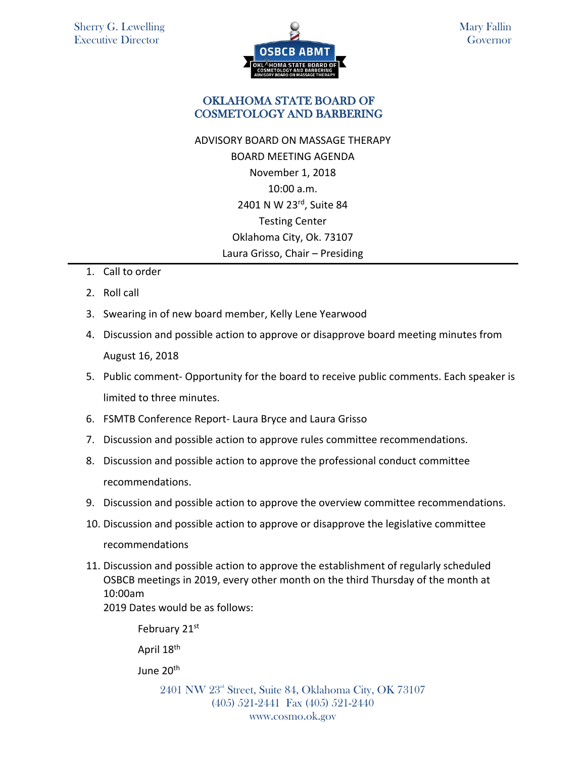

Mary Fallin **Governor** 

## OKLAHOMA STATE BOARD OF COSMETOLOGY AND BARBERING

- ADVISORY BOARD ON MASSAGE THERAPY BOARD MEETING AGENDA November 1, 2018 10:00 a.m. 2401 N W 23rd, Suite 84 Testing Center Oklahoma City, Ok. 73107 Laura Grisso, Chair – Presiding
- 1. Call to order
- 2. Roll call
- 3. Swearing in of new board member, Kelly Lene Yearwood
- 4. Discussion and possible action to approve or disapprove board meeting minutes from August 16, 2018
- 5. Public comment- Opportunity for the board to receive public comments. Each speaker is limited to three minutes.
- 6. FSMTB Conference Report- Laura Bryce and Laura Grisso
- 7. Discussion and possible action to approve rules committee recommendations.
- 8. Discussion and possible action to approve the professional conduct committee recommendations.
- 9. Discussion and possible action to approve the overview committee recommendations.
- 10. Discussion and possible action to approve or disapprove the legislative committee recommendations
- 11. Discussion and possible action to approve the establishment of regularly scheduled OSBCB meetings in 2019, every other month on the third Thursday of the month at 10:00am

2019 Dates would be as follows:

February 21st

April 18th

June 20<sup>th</sup>

2401 NW 23<sup>rd</sup> Street, Suite 84, Oklahoma City, OK 73107 (405) 521-2441 Fax (405) 521-2440 www.cosmo.ok.gov